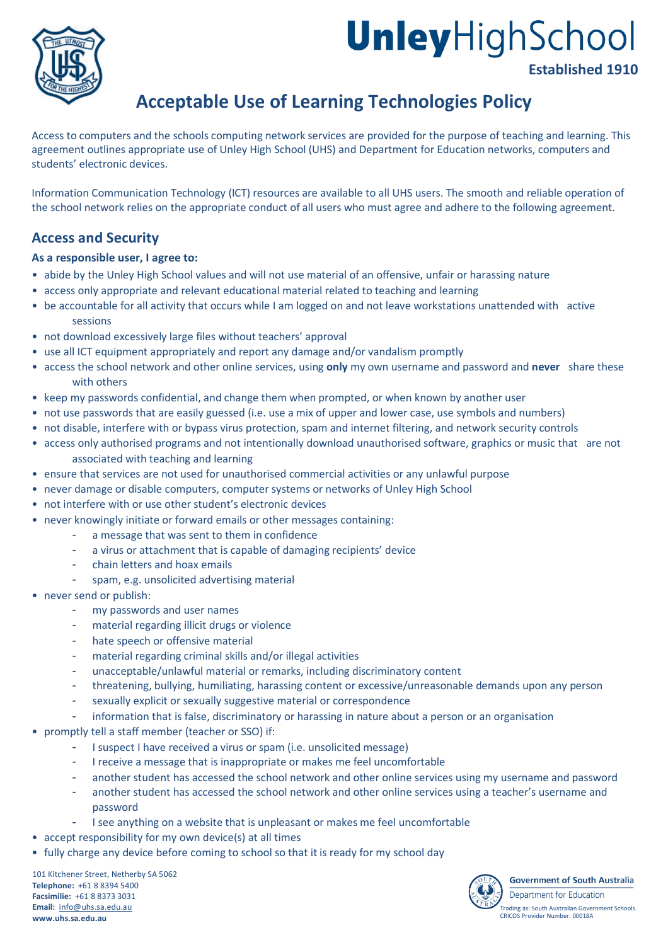

# UnleyHighSchool **Established 1910**

# **Acceptable Use of Learning Technologies Policy**

Access to computers and the schools computing network services are provided for the purpose of teaching and learning. This agreement outlines appropriate use of Unley High School (UHS) and Department for Education networks, computers and students' electronic devices.

Information Communication Technology (ICT) resources are available to all UHS users. The smooth and reliable operation of the school network relies on the appropriate conduct of all users who must agree and adhere to the following agreement.

# **Access and Security**

#### **As a responsible user, I agree to:**

- abide by the Unley High School values and will not use material of an offensive, unfair or harassing nature
- access only appropriate and relevant educational material related to teaching and learning
- be accountable for all activity that occurs while I am logged on and not leave workstations unattended with active sessions
- not download excessively large files without teachers' approval
- use all ICT equipment appropriately and report any damage and/or vandalism promptly
- access the school network and other online services, using **only** my own username and password and **never** share these with others
- keep my passwords confidential, and change them when prompted, or when known by another user
- not use passwords that are easily guessed (i.e. use a mix of upper and lower case, use symbols and numbers)
- not disable, interfere with or bypass virus protection, spam and internet filtering, and network security controls
- access only authorised programs and not intentionally download unauthorised software, graphics or music that are not associated with teaching and learning
- ensure that services are not used for unauthorised commercial activities or any unlawful purpose
- never damage or disable computers, computer systems or networks of Unley High School
- not interfere with or use other student's electronic devices
- never knowingly initiate or forward emails or other messages containing:
	- a message that was sent to them in confidence
	- a virus or attachment that is capable of damaging recipients' device
	- chain letters and hoax emails
	- spam, e.g. unsolicited advertising material
- never send or publish:
	- my passwords and user names
	- material regarding illicit drugs or violence
	- hate speech or offensive material
	- material regarding criminal skills and/or illegal activities
	- unacceptable/unlawful material or remarks, including discriminatory content
	- threatening, bullying, humiliating, harassing content or excessive/unreasonable demands upon any person
	- sexually explicit or sexually suggestive material or correspondence
	- information that is false, discriminatory or harassing in nature about a person or an organisation
- promptly tell a staff member (teacher or SSO) if:
	- I suspect I have received a virus or spam (i.e. unsolicited message)
	- I receive a message that is inappropriate or makes me feel uncomfortable
	- another student has accessed the school network and other online services using my username and password
	- another student has accessed the school network and other online services using a teacher's username and password
	- I see anything on a website that is unpleasant or makes me feel uncomfortable
- accept responsibility for my own device(s) at all times
- fully charge any device before coming to school so that it is ready for my school day

101 Kitchener Street, Netherby SA 5062 **Telephone:** +61 8 8394 5400 **Facsimilie:** +61 8 8373 3031 **Email:** info@uhs.sa.edu.au **www.uhs.sa.edu.au**

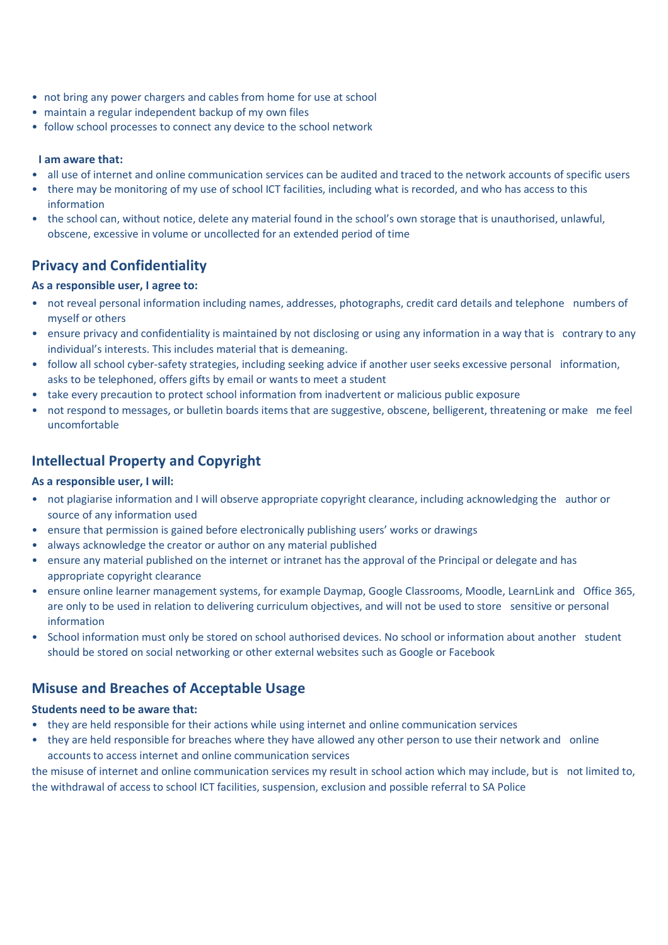- not bring any power chargers and cables from home for use at school
- maintain a regular independent backup of my own files
- follow school processes to connect any device to the school network

#### **I am aware that:**

- all use of internet and online communication services can be audited and traced to the network accounts of specific users
- there may be monitoring of my use of school ICT facilities, including what is recorded, and who has access to this information
- the school can, without notice, delete any material found in the school's own storage that is unauthorised, unlawful, obscene, excessive in volume or uncollected for an extended period of time

### **Privacy and Confidentiality**

#### **As a responsible user, I agree to:**

- not reveal personal information including names, addresses, photographs, credit card details and telephone numbers of myself or others
- ensure privacy and confidentiality is maintained by not disclosing or using any information in a way that is contrary to any individual's interests. This includes material that is demeaning.
- follow all school cyber-safety strategies, including seeking advice if another user seeks excessive personal information, asks to be telephoned, offers gifts by email or wants to meet a student
- take every precaution to protect school information from inadvertent or malicious public exposure
- not respond to messages, or bulletin boards items that are suggestive, obscene, belligerent, threatening or make me feel uncomfortable

### **Intellectual Property and Copyright**

#### **As a responsible user, I will:**

- not plagiarise information and I will observe appropriate copyright clearance, including acknowledging the author or source of any information used
- ensure that permission is gained before electronically publishing users' works or drawings
- always acknowledge the creator or author on any material published
- ensure any material published on the internet or intranet has the approval of the Principal or delegate and has appropriate copyright clearance
- ensure online learner management systems, for example Daymap, Google Classrooms, Moodle, LearnLink and Office 365, are only to be used in relation to delivering curriculum objectives, and will not be used to store sensitive or personal information
- School information must only be stored on school authorised devices. No school or information about another student should be stored on social networking or other external websites such as Google or Facebook

# **Misuse and Breaches of Acceptable Usage**

#### **Students need to be aware that:**

- they are held responsible for their actions while using internet and online communication services
- they are held responsible for breaches where they have allowed any other person to use their network and online accounts to access internet and online communication services

the misuse of internet and online communication services my result in school action which may include, but is not limited to, the withdrawal of access to school ICT facilities, suspension, exclusion and possible referral to SA Police